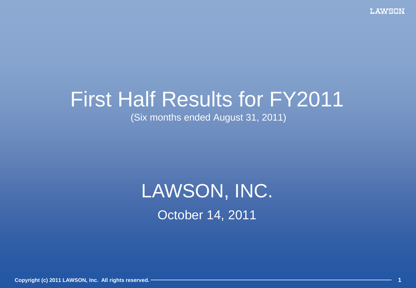# First Half Results for FY2011

(Six months ended August 31, 2011)

# October 14, 2011 LAWSON, INC.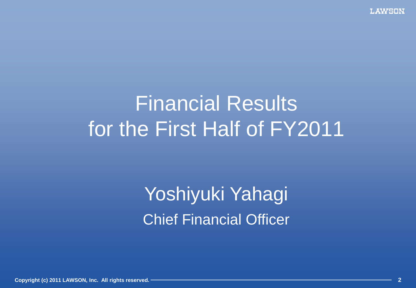# Financial Results for the First Half of FY2011

Yoshiyuki Yahagi Chief Financial Officer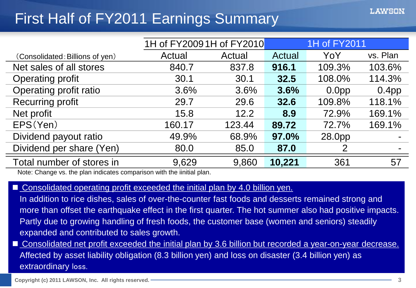### First Half of FY2011 Earnings Summary

|                                                                                                                                      | 1H of FY2009 1H of FY2010 |        | 1H of FY2011 |                   |                   |
|--------------------------------------------------------------------------------------------------------------------------------------|---------------------------|--------|--------------|-------------------|-------------------|
| (Consolidated: Billions of yen)                                                                                                      | Actual                    | Actual | Actual       | YoY               | vs. Plan          |
| Net sales of all stores                                                                                                              | 840.7                     | 837.8  | 916.1        | 109.3%            | 103.6%            |
| <b>Operating profit</b>                                                                                                              | 30.1                      | 30.1   | 32.5         | 108.0%            | 114.3%            |
| Operating profit ratio                                                                                                               | 3.6%                      | 3.6%   | 3.6%         | 0.0 <sub>pp</sub> | 0.4 <sub>pp</sub> |
| <b>Recurring profit</b>                                                                                                              | 29.7                      | 29.6   | 32.6         | 109.8%            | 118.1%            |
| Net profit                                                                                                                           | 15.8                      | 12.2   | 8.9          | 72.9%             | 169.1%            |
| EPS(Yen)                                                                                                                             | 160.17                    | 123.44 | 89.72        | 72.7%             | 169.1%            |
| Dividend payout ratio                                                                                                                | 49.9%                     | 68.9%  | 97.0%        | 28.0pp            |                   |
| Dividend per share (Yen)                                                                                                             | 80.0                      | 85.0   | 87.0         |                   |                   |
| Total number of stores in<br>ويتعاون المكافئ والمستقلب والمتارين والمتعاون والمستحدث والمستقلب والمستحدث والمستحدث والأراد والمستحدث | 9,629                     | 9,860  | 10,221       | 361               | 57                |

Note: Change vs. the plan indicates comparison with the iinitial plan.

#### ■ Consolidated operating profit exceeded the initial plan by 4.0 billion yen.

In addition to rice dishes, sales of over-the-counter fast foods and desserts remained strong and more than offset the earthquake effect in the first quarter. The hot summer also had positive impacts. Partly due to growing handling of fresh foods, the customer base (women and seniors) steadily expanded and contributed to sales growth.

■ Consolidated net profit exceeded the initial plan by 3.6 billion but recorded a year-on-year decrease. Affected by asset liability obligation (8.3 billion yen) and loss on disaster (3.4 billion yen) as extraordinary loss.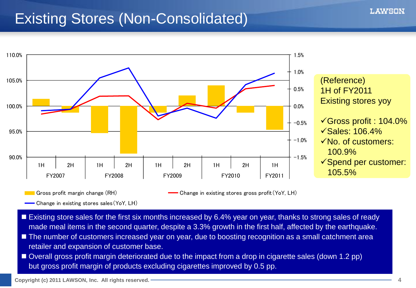### Existing Stores (Non-Consolidated)



Gross profit margin change (RH) **Change in existing stores gross profit** (YoY, LH)

**-** Change in existing stores sales (YoY, LH)

- Existing store sales for the first six months increased by 6.4% year on year, thanks to strong sales of ready made meal items in the second quarter, despite a 3.3% growth in the first half, affected by the earthquake.
- The number of customers increased year on year, due to boosting recognition as a small catchment area retailer and expansion of customer base.
- Overall gross profit margin deteriorated due to the impact from a drop in cigarette sales (down 1.2 pp) but gross profit margin of products excluding cigarettes improved by 0.5 pp.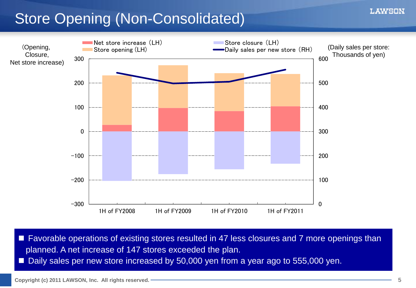### Store Opening (Non-Consolidated)



■ Favorable operations of existing stores resulted in 47 less closures and 7 more openings than planned. A net increase of 147 stores exceeded the plan.

Daily sales per new store increased by 50,000 yen from a year ago to 555,000 yen.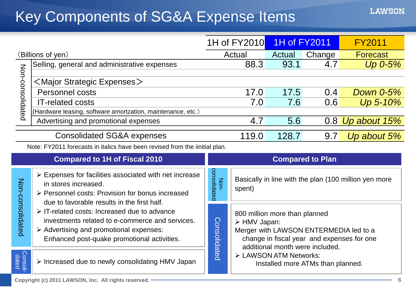### Key Components of SG&A Expense Items

|                                                                                                                                                                                                                                                                                            |                                                                                                                                                   |                                                                                                                                                              | 1H of FY2010 | 1H of FY2011 |                         | <b>FY2011</b>                                         |
|--------------------------------------------------------------------------------------------------------------------------------------------------------------------------------------------------------------------------------------------------------------------------------------------|---------------------------------------------------------------------------------------------------------------------------------------------------|--------------------------------------------------------------------------------------------------------------------------------------------------------------|--------------|--------------|-------------------------|-------------------------------------------------------|
| (Billions of yen)                                                                                                                                                                                                                                                                          |                                                                                                                                                   |                                                                                                                                                              | Actual       | Actual       | Change                  | <b>Forecast</b>                                       |
|                                                                                                                                                                                                                                                                                            | Selling, general and administrative expenses                                                                                                      |                                                                                                                                                              | 88.3         | 93.1         | 4.7                     | $Up$ 0-5%                                             |
| Non-consolidated                                                                                                                                                                                                                                                                           | $\leq$ Major Strategic Expenses $>$                                                                                                               |                                                                                                                                                              |              |              |                         |                                                       |
|                                                                                                                                                                                                                                                                                            | Personnel costs                                                                                                                                   |                                                                                                                                                              | 17.0         | 17.5         | 0.4                     | <b>Down 0-5%</b>                                      |
|                                                                                                                                                                                                                                                                                            | <b>IT-related costs</b>                                                                                                                           |                                                                                                                                                              | 7.0          | 7.6          | 0.6                     | Up 5-10%                                              |
|                                                                                                                                                                                                                                                                                            | (Hardware leasing, software amortzation, maintenance, etc.)                                                                                       |                                                                                                                                                              |              |              |                         |                                                       |
|                                                                                                                                                                                                                                                                                            | Advertising and promotional expenses                                                                                                              |                                                                                                                                                              | 4.7          | 5.6          |                         | $0.8$ Up about 15%                                    |
|                                                                                                                                                                                                                                                                                            | <b>Consolidated SG&amp;A expenses</b>                                                                                                             |                                                                                                                                                              | 119.0        | 128.7        | 9.7                     | Up about 5%                                           |
|                                                                                                                                                                                                                                                                                            | Note: FY2011 forecasts in italics have been revised from the iinitial plan.                                                                       |                                                                                                                                                              |              |              |                         |                                                       |
|                                                                                                                                                                                                                                                                                            | <b>Compared to 1H of Fiscal 2010</b>                                                                                                              |                                                                                                                                                              |              |              | <b>Compared to Plan</b> |                                                       |
|                                                                                                                                                                                                                                                                                            | $\triangleright$ Expenses for facilities associated with net increase<br>in stores increased.<br>▶ Personnel costs: Provision for bonus increased | consolidatec<br>Non-                                                                                                                                         | spent)       |              |                         | Basically in line with the plan (100 million yen more |
| Non-consolidated<br>due to favorable results in the first half.<br>$\triangleright$ IT-related costs: Increased due to advance<br>investments related to e-commerce and services.<br>$\triangleright$ Advertising and promotional expenses:<br>Enhanced post-quake promotional activities. |                                                                                                                                                   | 800 million more than planned<br><b>Consolidated</b><br>> HMV Japan:<br>Merger with LAWSON ENTERMEDIA led to a<br>change in fiscal year and expenses for one |              |              |                         |                                                       |
| Consoli-<br>dated                                                                                                                                                                                                                                                                          | > Increased due to newly consolidating HMV Japan                                                                                                  | additional month were included.<br>> LAWSON ATM Networks:<br>Installed more ATMs than planned.                                                               |              |              |                         |                                                       |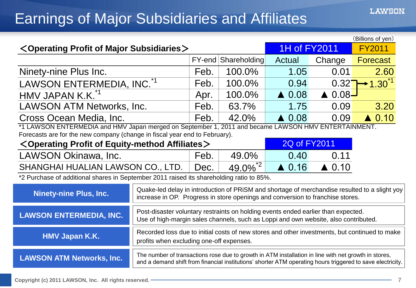### Earnings of Major Subsidiaries and Affiliates

| (Billions of yen)                                                                                   |                                                                                                                                                                                                                    |      |                     |                  |                  |                  |
|-----------------------------------------------------------------------------------------------------|--------------------------------------------------------------------------------------------------------------------------------------------------------------------------------------------------------------------|------|---------------------|------------------|------------------|------------------|
| $<$ Operating Profit of Major Subsidiaries $>$                                                      |                                                                                                                                                                                                                    |      |                     | 1H of FY2011     |                  | <b>FY2011</b>    |
|                                                                                                     |                                                                                                                                                                                                                    |      | FY-end Shareholding | Actual           | Change           | <b>Forecast</b>  |
| Ninety-nine Plus Inc.                                                                               |                                                                                                                                                                                                                    | Feb. | 100.0%              | 1.05             | 0.01             | 2.60             |
| LAWSON ENTERMEDIA, INC. <sup>*1</sup>                                                               |                                                                                                                                                                                                                    | Feb. | 100.0%              | 0.94             | 0.32             | $+1.30$          |
| HMV JAPAN K.K. <sup>*1</sup>                                                                        |                                                                                                                                                                                                                    | Apr. | 100.0%              | $\triangle$ 0.08 | $0.08 -$         |                  |
| <b>LAWSON ATM Networks, Inc.</b>                                                                    |                                                                                                                                                                                                                    | Feb. | 63.7%               | 1.75             | 0.09             | 3.20             |
| Cross Ocean Media, Inc.                                                                             |                                                                                                                                                                                                                    | Feb. | 42.0%               | $\triangle$ 0.08 | 0.09             | $\triangle$ 0.10 |
| *1 LAWSON ENTERMEDIA and HMV Japan merged on September 1, 2011 and became LAWSON HMV ENTERTAINMENT. |                                                                                                                                                                                                                    |      |                     |                  |                  |                  |
| Forecasts are for the new company (change in fiscal year end to February).                          |                                                                                                                                                                                                                    |      |                     |                  |                  |                  |
| $<$ Operating Profit of Equity-method Affiliates $>$                                                |                                                                                                                                                                                                                    |      |                     | 2Q of FY2011     |                  |                  |
| LAWSON Okinawa, Inc.                                                                                |                                                                                                                                                                                                                    | Feb. | 49.0%               | 0.40             | 0.11             |                  |
| SHANGHAI HUALIAN LAWSON CO., LTD.                                                                   |                                                                                                                                                                                                                    | Dec. | $\frac{49.0\%}{2}$  | $\triangle$ 0.16 | $\triangle$ 0.10 |                  |
| *2 Purchase of additional shares in September 2011 raised its shareholding ratio to 85%.            |                                                                                                                                                                                                                    |      |                     |                  |                  |                  |
| <b>Ninety-nine Plus, Inc.</b>                                                                       | Quake-led delay in introduction of PRISM and shortage of merchandise resulted to a slight yoy<br>increase in OP. Progress in store openings and conversion to franchise stores.                                    |      |                     |                  |                  |                  |
| <b>LAWSON ENTERMEDIA, INC.</b>                                                                      | Post-disaster voluntary restraints on holding events ended earlier than expected.<br>Use of high-margin sales channels, such as Loppi and own website, also contributed.                                           |      |                     |                  |                  |                  |
| <b>HMV Japan K.K.</b>                                                                               | Recorded loss due to initial costs of new stores and other investments, but continued to make<br>profits when excluding one-off expenses.                                                                          |      |                     |                  |                  |                  |
| <b>LAWSON ATM Networks, Inc.</b>                                                                    | The number of transactions rose due to growth in ATM installation in line with net growth in stores,<br>and a demand shift from financial institutions' shorter ATM operating hours triggered to save electricity. |      |                     |                  |                  |                  |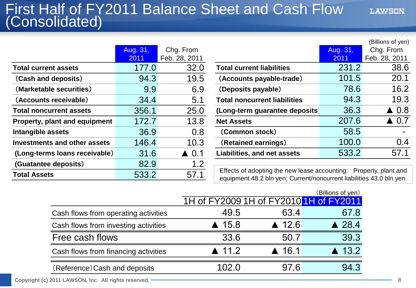#### First Half of FY2011 Balance Sheet and Cash Flow (Consolidated)

|                                | Aug. 31, | Chg. From       |                                                                                                                                          | Aug. 31, | Chg. From           |
|--------------------------------|----------|-----------------|------------------------------------------------------------------------------------------------------------------------------------------|----------|---------------------|
|                                | 2011     | Feb. 28, 2011   |                                                                                                                                          | 2011     | Feb. 28, 201        |
| <b>Total current assets</b>    | 177.0    | 32.0            | <b>Total current liabilities</b>                                                                                                         | 231.2    | 38.0                |
| (Cash and deposits)            | 94.3     | 19.5            | (Accounts payable-trade)                                                                                                                 | 101.5    | 20.7                |
| (Marketable securities)        | 9.9      | 6.9             | (Deposits payable)                                                                                                                       | 78.6     | 16.2                |
| (Accounts receivable)          | 34.4     | 5.1             | <b>Total noncurrent liabilities</b>                                                                                                      | 94.3     | 19.3                |
| <b>Total noncurrent assets</b> | 356.1    | 25.0            | (Long-term guarantee deposits)                                                                                                           | 36.3     | $\triangle$ 0.8     |
| Property, plant and equipment  | 172.7    | 13.8            | <b>Net Assets</b>                                                                                                                        | 207.6    | $\blacktriangle$ 0. |
| Intangible assets              | 36.9     | 0.8             | (Common stock)                                                                                                                           | 58.5     | $\blacksquare$      |
| Investments and other assets   | 146.4    | 10.3            | (Retained earnings)                                                                                                                      | 100.0    | 0.4                 |
| (Long-terms loans receivable)  | 31.6     | $\triangle$ 0.1 | <b>Liabilities, and net assets</b>                                                                                                       | 533.2    | 57.7                |
| (Guatantee deposits)           | 82.9     | 1.2             |                                                                                                                                          |          |                     |
| <b>Total Assets</b>            | 533.2    | 57.1            | Effects of adopting the new lease accounting: Property, plant and<br>equipment 48.2 bln yen; Current/noncurrent liabilities 43.0 bln yen |          |                     |

|                                      |               |                 |                                     |          | (Billions of yen) |
|--------------------------------------|---------------|-----------------|-------------------------------------|----------|-------------------|
|                                      | Aug. 31,      | Chg. From       |                                     | Aug. 31, | Chg. From         |
|                                      | 2011          | Feb. 28, 2011   |                                     | 2011     | Feb. 28, 2011     |
| <b>Total current assets</b>          | 177.0         | 32.0            | <b>Total current liabilities</b>    | 231.2    | 38.6              |
| (Cash and deposits)                  | 94.3          | 19.5            | (Accounts payable-trade)            | 101.5    | 20.1              |
| (Marketable securities)              | 9.9           | 6.9             | (Deposits payable)                  | 78.6     | 16.2              |
| (Accounts receivable)                | 34.4          | 5.1             | <b>Total noncurrent liabilities</b> | 94.3     | 19.3              |
| <b>Total noncurrent assets</b>       | 356.1         | 25.0            | (Long-term guarantee deposits)      | 36.3     | $\triangle$ 0.8   |
| <b>Property, plant and equipment</b> | 172.7         | 13.8            | <b>Net Assets</b>                   | 207.6    | $\triangle$ 0.7   |
| Intangible assets                    | 36.9          | 0.8             | (Common stock)                      | 58.5     | $\blacksquare$    |
| <b>Investments and other assets</b>  | 146.4         | 10.3            | (Retained earnings)                 | 100.0    | 0.4               |
| (Long-terms loans receivable)        | 31.6          | $\triangle$ 0.1 | <b>Liabilities, and net assets</b>  | 533.2    | 57.1              |
|                                      | $\sim$ $\sim$ | $\sim$          |                                     |          |                   |

Effects of adopting the new lease accounting: Property, plant and equipment 48.2 bln yen; Current/noncurrent liabilities 43.0 bln yen

|                                      |                                        |                       | (Billions of yen)     |
|--------------------------------------|----------------------------------------|-----------------------|-----------------------|
|                                      | 1H of FY2009 1H of FY2010 1H of FY2011 |                       |                       |
| Cash flows from operating activities | 49.5                                   | 63.4                  | 67.8                  |
| Cash flows from investing activities | $\triangle$ 15.8                       | $\triangle$ 12.6      | $\triangle$ 28.4      |
| Free cash flows                      | 33.6                                   | 50.7                  | 39.3                  |
| Cash flows from financing activities | $\blacktriangle$ 11.2                  | $\blacktriangle$ 16.1 | $\blacktriangle$ 13.2 |
| (Reference) Cash and deposits        | 02.0                                   | 97.6                  | 94.3                  |
|                                      |                                        |                       |                       |

**Copyright (c) 2011 LAWSON, Inc. All rights reserved. 8**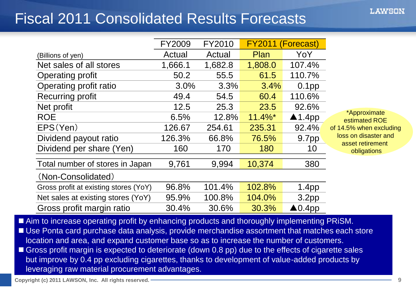### Fiscal 2011 Consolidated Results Forecasts

|                                       | <b>FY2009</b> | FY2010  | <b>FY2011</b> | (Forecast)        |                                          |
|---------------------------------------|---------------|---------|---------------|-------------------|------------------------------------------|
| (Billions of yen)                     | Actual        | Actual  | Plan          | YoY               |                                          |
| Net sales of all stores               | 1,666.1       | 1,682.8 | 1,808.0       | 107.4%            |                                          |
| <b>Operating profit</b>               | 50.2          | 55.5    | 61.5          | 110.7%            |                                          |
| Operating profit ratio                | 3.0%          | 3.3%    | 3.4%          | 0.1 <sub>pp</sub> |                                          |
| Recurring profit                      | 49.4          | 54.5    | 60.4          | 110.6%            |                                          |
| Net profit                            | 12.5          | 25.3    | 23.5          | 92.6%             |                                          |
| <b>ROE</b>                            | 6.5%          | 12.8%   | $11.4\%$ *    | $\triangle$ 1.4pp | *Approximate<br>estimated ROE            |
| EPS(Yen)                              | 126.67        | 254.61  | 235.31        | 92.4%             | of 14.5% when excluding                  |
| Dividend payout ratio                 | 126.3%        | 66.8%   | 76.5%         | 9.7pp             | loss on disaster and<br>asset retirement |
| Dividend per share (Yen)              | 160           | 170     | 180           | 10                | obligations                              |
| Total number of stores in Japan       | 9,761         | 9,994   | 10,374        | 380               |                                          |
| (Non-Consolidated)                    |               |         |               |                   |                                          |
| Gross profit at existing stores (YoY) | 96.8%         | 101.4%  | 102.8%        | 1.4 <sub>pp</sub> |                                          |
| Net sales at existing stores (YoY)    | 95.9%         | 100.8%  | 104.0%        | 3.2 <sub>pp</sub> |                                          |
| Gross profit margin ratio             | 30.4%         | 30.6%   | 30.3%         | $\triangle$ 0.4pp |                                          |

Aim to increase operating profit by enhancing products and thoroughly implementing PRISM.

■ Use Ponta card purchase data analysis, provide merchandise assortment that matches each store location and area, and expand customer base so as to increase the number of customers.

Gross profit margin is expected to deteriorate (down 0.8 pp) due to the effects of cigarette sales but improve by 0.4 pp excluding cigarettes, thanks to development of value-added products by leveraging raw material procurement advantages.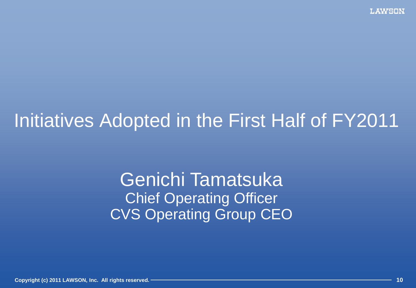# Initiatives Adopted in the First Half of FY2011

Genichi Tamatsuka Chief Operating Officer CVS Operating Group CEO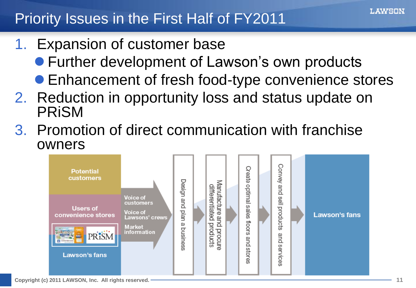### Priority Issues in the First Half of FY2011

- 1. Expansion of customer base
	- Further development of Lawson's own products
	- Enhancement of fresh food-type convenience stores
- 2. Reduction in opportunity loss and status update on PRiSM
- 3. Promotion of direct communication with franchise owners

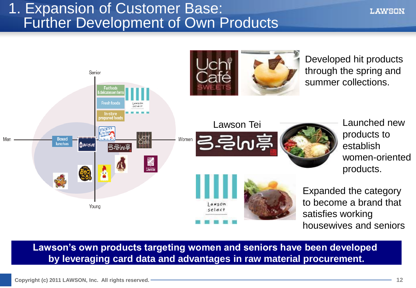#### 1. Expansion of Customer Base: Further Development of Own Products



**Lawson's own products targeting women and seniors have been developed by leveraging card data and advantages in raw material procurement.**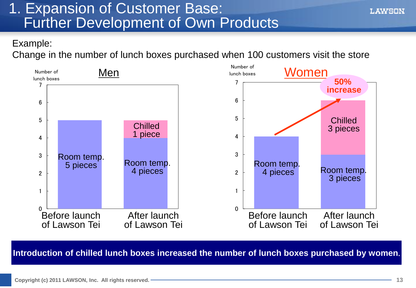#### 1. Expansion of Customer Base: Further Development of Own Products

#### Example:

Change in the number of lunch boxes purchased when 100 customers visit the store



#### **Introduction of chilled lunch boxes increased the number of lunch boxes purchased by women**.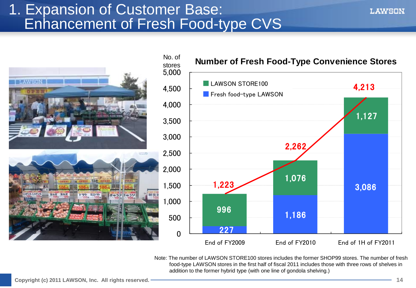#### 1. Expansion of Customer Base: Enhancement of Fresh Food-type CVS





Note: The number of LAWSON STORE100 stores includes the former SHOP99 stores. The number of fresh food-type LAWSON stores in the first half of fiscal 2011 includes those with three rows of shelves in addition to the former hybrid type (with one line of gondola shelving.)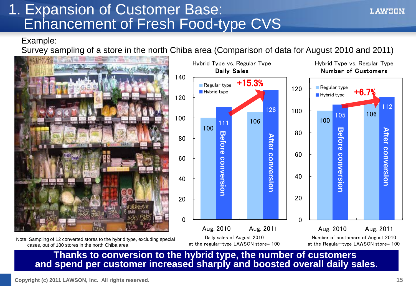#### 1. Expansion of Customer Base: Enhancement of Fresh Food-type CVS

Example:

Survey sampling of a store in the north Chiba area (Comparison of data for August 2010 and 2011)







**Thanks to conversion to the hybrid type, the number of customers and spend per customer increased sharply and boosted overall daily sales.**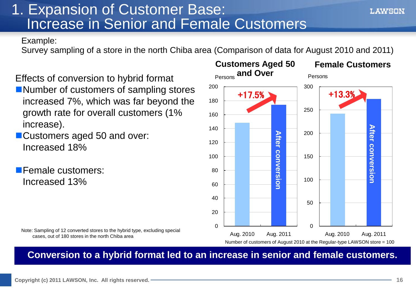### 1. Expansion of Customer Base: Increase in Senior and Female Customers

Example:

Survey sampling of a store in the north Chiba area (Comparison of data for August 2010 and 2011)

180

200

Persons **and Over**

**Customers Aged 50** 

+17.5%

Effects of conversion to hybrid format ■Number of customers of sampling stores increased 7%, which was far beyond the growth rate for overall customers (1% increase).

**Customers aged 50 and over:** Increased 18%

**Female customers:** Increased 13%

Note: Sampling of 12 converted stores to the hybrid type, excluding special cases, out of 180 stores in the north Chiba area



300

Persons

**Female Customers**

L AWSON

 $+13.3%$ 

**Conversion to a hybrid format led to an increase in senior and female customers.**

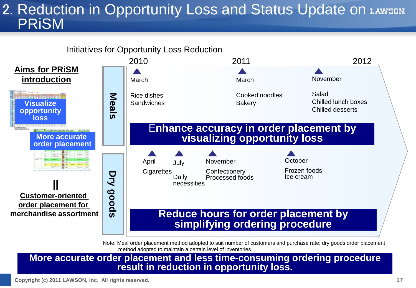#### 2. Reduction in Opportunity Loss and Status Update on LAWSDN PRiSM



Note: Meal order placement method adopted to suit number of customers and purchase rate; dry goods order placement method adopted to maintain a certain level of inventories.

**More accurate order placement and less time-consuming ordering procedure result in reduction in opportunity loss.**

**Copyright (c) 2011 LAWSON, Inc. All rights reserved. 17**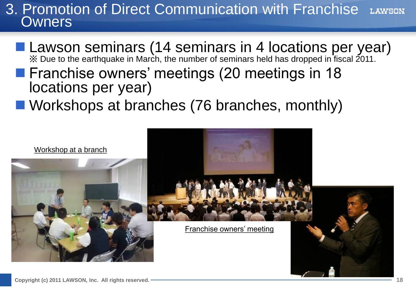#### 3. Promotion of Direct Communication with Franchise **LAWSON Owners**

#### ■ Lawson seminars (14 seminars in 4 locations per year) ※ Due to the earthquake in March, the number of seminars held has dropped in fiscal 2011.

- **Franchise owners' meetings (20 meetings in 18** locations per year)
- Workshops at branches (76 branches, monthly)

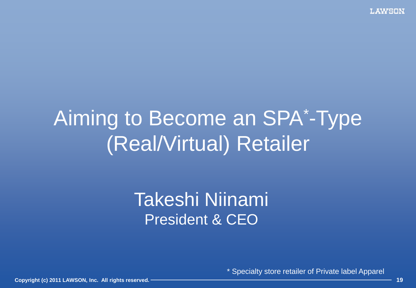# Aiming to Become an SPA\* -Type (Real/Virtual) Retailer

## Takeshi Niinami President & CEO

\* Specialty store retailer of Private label Apparel

**Copyright (c) 2011 LAWSON, Inc. All rights reserved. 19**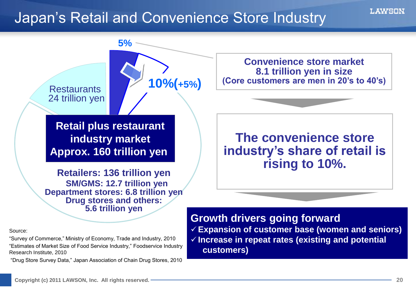#### Japan's Retail and Convenience Store Industry



"Survey of Commerce," Ministry of Economy, Trade and Industry, 2010 "Estimates of Market Size of Food Service Industry," Foodservice Industry Research Institute, 2010

"Drug Store Survey Data," Japan Association of Chain Drug Stores, 2010

 **Expansion of customer base (women and seniors) Increase in repeat rates (existing and potential customers)**

Source: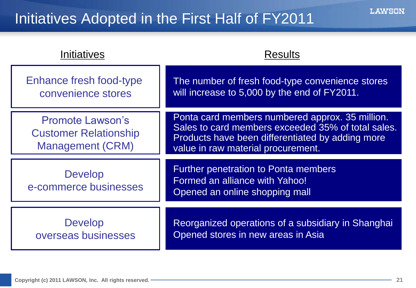| Initiatives                                                                        | <b>Results</b>                                                                                                                                                                                  |
|------------------------------------------------------------------------------------|-------------------------------------------------------------------------------------------------------------------------------------------------------------------------------------------------|
| <b>Enhance fresh food-type</b><br>convenience stores                               | The number of fresh food-type convenience stores<br>will increase to 5,000 by the end of FY2011.                                                                                                |
| <b>Promote Lawson's</b><br><b>Customer Relationship</b><br><b>Management (CRM)</b> | Ponta card members numbered approx. 35 million.<br>Sales to card members exceeded 35% of total sales.<br>Products have been differentiated by adding more<br>value in raw material procurement. |
| <b>Develop</b><br>e-commerce businesses                                            | <b>Further penetration to Ponta members</b><br>Formed an alliance with Yahoo!<br>Opened an online shopping mall                                                                                 |
| <b>Develop</b><br>overseas businesses                                              | Reorganized operations of a subsidiary in Shanghai<br>Opened stores in new areas in Asia                                                                                                        |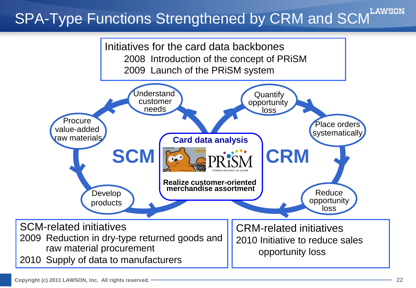## SPA-Type Functions Strengthened by CRM and SCM<sup>LAWSON</sup>

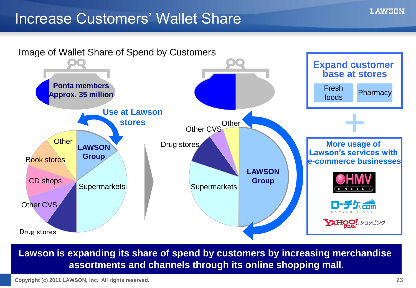#### Increase Customers' Wallet Share



**Lawson is expanding its share of spend by customers by increasing merchandise assortments and channels through its online shopping mall.**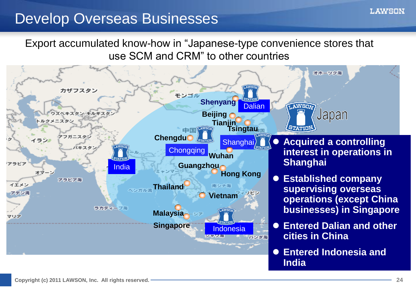### Develop Overseas Businesses

Export accumulated know-how in "Japanese-type convenience stores that use SCM and CRM" to other countries

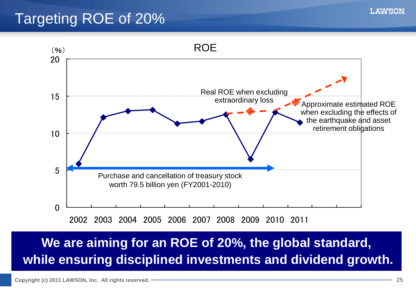### Targeting ROE of 20%



2002 2003 2003 2004 2005 2006 2007 2008 2009 2010 2011

#### **We are aiming for an ROE of 20%, the global standard, while ensuring disciplined investments and dividend growth.**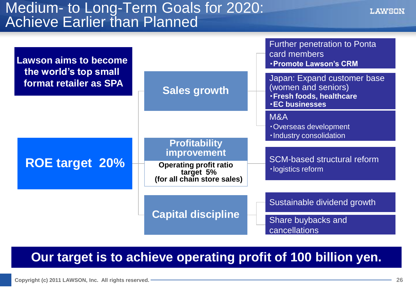#### Medium- to Long-Term Goals for 2020: Achieve Earlier than Planned



**Our target is to achieve operating profit of 100 billion yen.**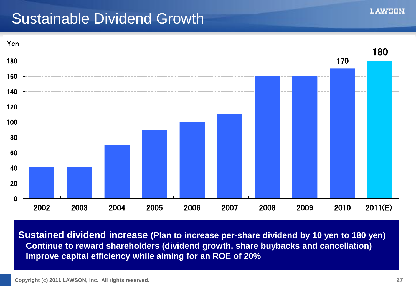### Sustainable Dividend Growth



**Sustained dividend increase (Plan to increase per-share dividend by 10 yen to 180 yen) Continue to reward shareholders (dividend growth, share buybacks and cancellation) Improve capital efficiency while aiming for an ROE of 20%**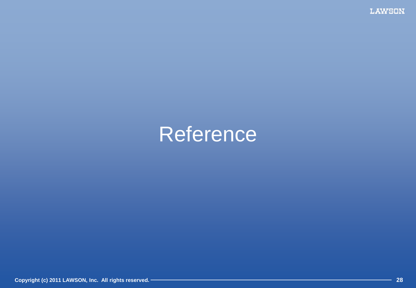# Reference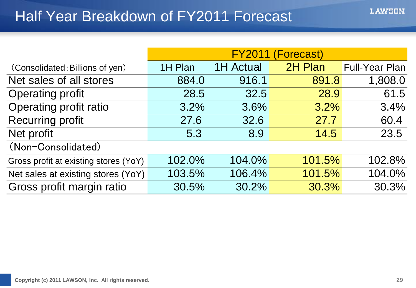|                                       | FY2011 (Forecast) |                  |         |                       |  |  |  |
|---------------------------------------|-------------------|------------------|---------|-----------------------|--|--|--|
| (Consolidated: Billions of yen)       | 1H Plan           | <b>1H Actual</b> | 2H Plan | <b>Full-Year Plan</b> |  |  |  |
| Net sales of all stores               | 884.0             | 916.1            | 891.8   | 1,808.0               |  |  |  |
| <b>Operating profit</b>               | 28.5              | 32.5             | 28.9    | 61.5                  |  |  |  |
| Operating profit ratio                | 3.2%              | 3.6%             | 3.2%    | 3.4%                  |  |  |  |
| <b>Recurring profit</b>               | 27.6              | 32.6             | 27.7    | 60.4                  |  |  |  |
| Net profit                            | 5.3               | 8.9              | 14.5    | 23.5                  |  |  |  |
| (Non-Consolidated)                    |                   |                  |         |                       |  |  |  |
| Gross profit at existing stores (YoY) | 102.0%            | 104.0%           | 101.5%  | 102.8%                |  |  |  |
| Net sales at existing stores (YoY)    | 103.5%            | 106.4%           | 101.5%  | 104.0%                |  |  |  |
| Gross profit margin ratio             | 30.5%             | 30.2%            | 30.3%   | 30.3%                 |  |  |  |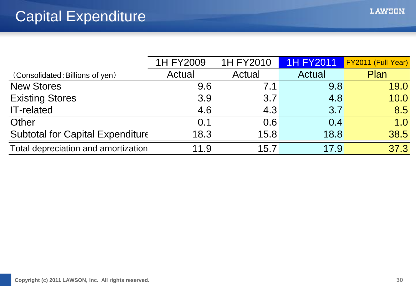|                                         | 1H FY2009 | 1H FY2010 | <b>1H FY2011</b> | FY2011 (Full-Year) |
|-----------------------------------------|-----------|-----------|------------------|--------------------|
| (Consolidated: Billions of yen)         | Actual    | Actual    | Actual           | Plan               |
| <b>New Stores</b>                       | 9.6       | 7.1       | 9.8              | 19.0               |
| <b>Existing Stores</b>                  | 3.9       | 3.7       | 4.8              | 10.0               |
| <b>IT-related</b>                       | 4.6       | 4.3       | 3.7              | 8.5                |
| Other                                   | 0.1       | 0.6       | 0.4              | 1.0                |
| <b>Subtotal for Capital Expenditure</b> | 18.3      | 15.8      | 18.8             | 38.5               |
| Total depreciation and amortization     | 11.9      | 15.7      | 17.9             | 37.3               |